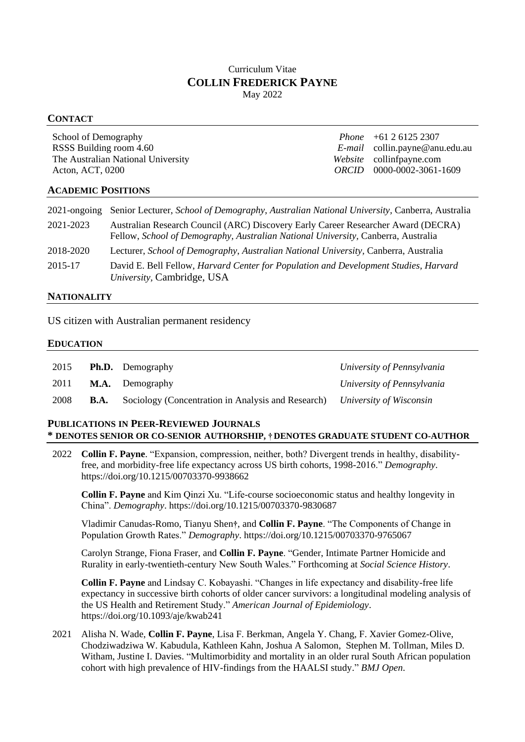# Curriculum Vitae **COLLIN FREDERICK PAYNE** May 2022

## **CONTACT**

| School of Demography               | <i>Phone</i> $+61261252307$               |
|------------------------------------|-------------------------------------------|
| RSSS Building room 4.60            | $E$ - <i>mail</i> collin.payne@anu.edu.au |
| The Australian National University | Website collinfpayne.com                  |
| Acton, ACT, 0200                   | $ORCID$ 0000-0002-3061-1609               |
|                                    |                                           |

## **ACADEMIC POSITIONS**

| $2021$ -ongoing | Senior Lecturer, School of Demography, Australian National University, Canberra, Australia                                                                             |
|-----------------|------------------------------------------------------------------------------------------------------------------------------------------------------------------------|
| 2021-2023       | Australian Research Council (ARC) Discovery Early Career Researcher Award (DECRA)<br>Fellow, School of Demography, Australian National University, Canberra, Australia |
| 2018-2020       | Lecturer, School of Demography, Australian National University, Canberra, Australia                                                                                    |
| 2015-17         | David E. Bell Fellow, <i>Harvard Center for Population and Development Studies</i> , <i>Harvard</i><br>University, Cambridge, USA                                      |

## **NATIONALITY**

US citizen with Australian permanent residency

### **EDUCATION**

| 2015 |             | <b>Ph.D.</b> Demography                                                    | University of Pennsylvania |
|------|-------------|----------------------------------------------------------------------------|----------------------------|
| 2011 |             | <b>M.A.</b> Demography                                                     | University of Pennsylvania |
| 2008 | <b>B.A.</b> | Sociology (Concentration in Analysis and Research) University of Wisconsin |                            |

# **PUBLICATIONS IN PEER-REVIEWED JOURNALS \* DENOTES SENIOR OR CO-SENIOR AUTHORSHIP, † DENOTES GRADUATE STUDENT CO-AUTHOR**

2022 **Collin F. Payne**. "Expansion, compression, neither, both? Divergent trends in healthy, disabilityfree, and morbidity-free life expectancy across US birth cohorts, 1998-2016." *Demography*. https://doi.org/10.1215/00703370-9938662

**Collin F. Payne** and Kim Qinzi Xu. "Life-course socioeconomic status and healthy longevity in China". *Demography*. https://doi.org/10.1215/00703370-9830687

Vladimir Canudas-Romo, Tianyu Shen**†**, and **Collin F. Payne**. "The Components of Change in Population Growth Rates." *Demography*. https://doi.org/10.1215/00703370-9765067

Carolyn Strange, Fiona Fraser, and **Collin F. Payne**. "Gender, Intimate Partner Homicide and Rurality in early-twentieth-century New South Wales." Forthcoming at *Social Science History*.

**Collin F. Payne** and Lindsay C. Kobayashi. "Changes in life expectancy and disability-free life expectancy in successive birth cohorts of older cancer survivors: a longitudinal modeling analysis of the US Health and Retirement Study." *American Journal of Epidemiology*. https://doi.org/10.1093/aje/kwab241

2021 Alisha N. Wade, **Collin F. Payne**, Lisa F. Berkman, Angela Y. Chang, F. Xavier Gomez-Olive, Chodziwadziwa W. Kabudula, Kathleen Kahn, Joshua A Salomon, Stephen M. Tollman, Miles D. Witham, Justine I. Davies. "Multimorbidity and mortality in an older rural South African population cohort with high prevalence of HIV-findings from the HAALSI study." *BMJ Open*.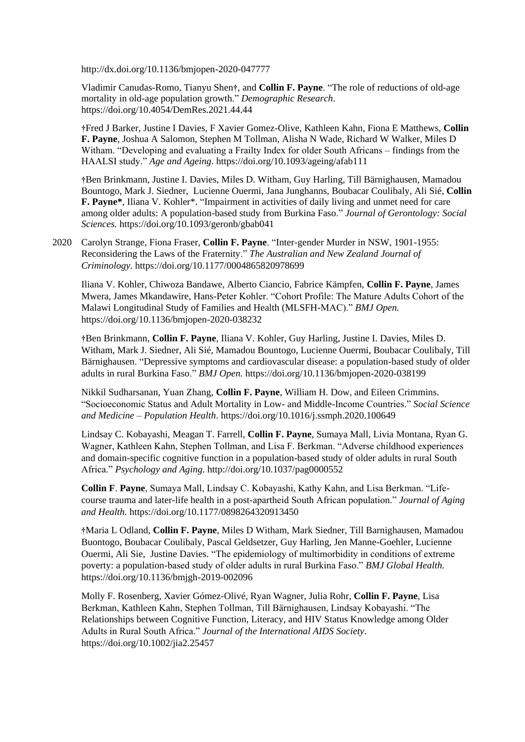http://dx.doi.org/10.1136/bmjopen-2020-047777

Vladimir Canudas-Romo, Tianyu Shen**†**, and **Collin F. Payne**. "The role of reductions of old-age mortality in old-age population growth." *Demographic Research*. https://doi.org/10.4054/DemRes.2021.44.44

**†**Fred J Barker, Justine I Davies, F Xavier Gomez-Olive, Kathleen Kahn, Fiona E Matthews, **Collin F. Payne**, Joshua A Salomon, Stephen M Tollman, Alisha N Wade, Richard W Walker, Miles D Witham. "Developing and evaluating a Frailty Index for older South Africans – findings from the HAALSI study." *Age and Ageing.* https://doi.org/10.1093/ageing/afab111

**†**Ben Brinkmann, Justine I. Davies, Miles D. Witham, Guy Harling, Till Bärnighausen, Mamadou Bountogo, Mark J. Siedner, Lucienne Ouermi, Jana Junghanns, Boubacar Coulibaly, Ali Sié, **Collin F. Payne\***, Iliana V. Kohler\*. "Impairment in activities of daily living and unmet need for care among older adults: A population-based study from Burkina Faso." *Journal of Gerontology: Social Sciences.* https://doi.org/10.1093/geronb/gbab041

2020 Carolyn Strange, Fiona Fraser, **Collin F. Payne**. "Inter-gender Murder in NSW, 1901-1955: Reconsidering the Laws of the Fraternity." *The Australian and New Zealand Journal of Criminology*. https://doi.org/10.1177/0004865820978699

Iliana V. Kohler, Chiwoza Bandawe, Alberto Ciancio, Fabrice Kämpfen, **Collin F. Payne**, James Mwera, James Mkandawire, Hans-Peter Kohler. "Cohort Profile: The Mature Adults Cohort of the Malawi Longitudinal Study of Families and Health (MLSFH-MAC)." *BMJ Open.*  https://doi.org/10.1136/bmjopen-2020-038232

**†**Ben Brinkmann, **Collin F. Payne**, Iliana V. Kohler, Guy Harling, Justine I. Davies, Miles D. Witham, Mark J. Siedner, Ali Sié, Mamadou Bountogo, Lucienne Ouermi, Boubacar Coulibaly, Till Bärnighausen. "Depressive symptoms and cardiovascular disease: a population-based study of older adults in rural Burkina Faso." *BMJ Open.* https://doi.org/10.1136/bmjopen-2020-038199

Nikkil Sudharsanan, Yuan Zhang, **Collin F. Payne**, William H. Dow, and Eileen Crimmins. "Socioeconomic Status and Adult Mortality in Low- and Middle-Income Countries." *Social Science and Medicine – Population Health*. https://doi.org/10.1016/j.ssmph.2020.100649

Lindsay C. Kobayashi, Meagan T. Farrell, **Collin F. Payne**, Sumaya Mall, Livia Montana, Ryan G. Wagner, Kathleen Kahn, Stephen Tollman, and Lisa F. Berkman. "Adverse childhood experiences and domain-specific cognitive function in a population-based study of older adults in rural South Africa." *Psychology and Aging*. http://doi.org/10.1037/pag0000552

**Collin F**. **Payne**, Sumaya Mall, Lindsay C. Kobayashi, Kathy Kahn, and Lisa Berkman. "Lifecourse trauma and later-life health in a post-apartheid South African population." *Journal of Aging and Health.* https://doi.org/10.1177/0898264320913450

**†**Maria L Odland, **Collin F. Payne**, Miles D Witham, Mark Siedner, Till Barnighausen, Mamadou Buontogo, Boubacar Coulibaly, Pascal Geldsetzer, Guy Harling, Jen Manne-Goehler, Lucienne Ouermi, Ali Sie, Justine Davies. "The epidemiology of multimorbidity in conditions of extreme poverty: a population-based study of older adults in rural Burkina Faso." *BMJ Global Health.* https://doi.org/10.1136/bmjgh-2019-002096

Molly F. Rosenberg, Xavier Gómez-Olivé, Ryan Wagner, Julia Rohr, **Collin F. Payne**, Lisa Berkman, Kathleen Kahn, Stephen Tollman, Till Bärnighausen, Lindsay Kobayashi. "The Relationships between Cognitive Function, Literacy, and HIV Status Knowledge among Older Adults in Rural South Africa." *Journal of the International AIDS Society*. https://doi.org/10.1002/jia2.25457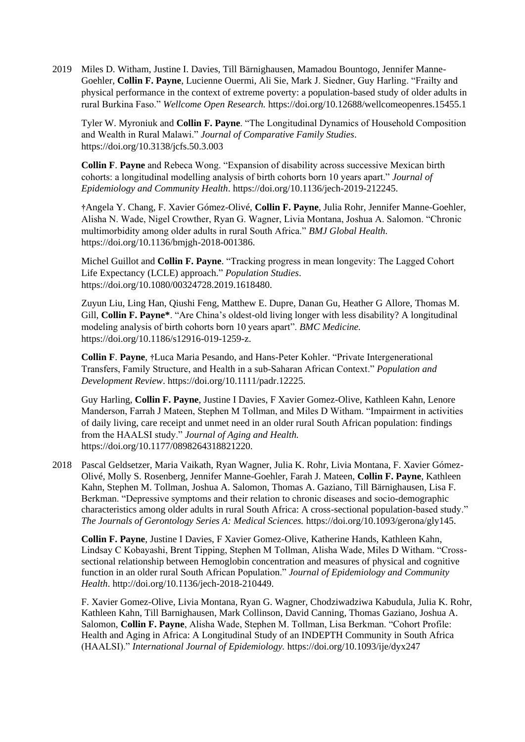2019 Miles D. Witham, Justine I. Davies, Till Bärnighausen, Mamadou Bountogo, Jennifer Manne-Goehler, **Collin F. Payne**, Lucienne Ouermi, Ali Sie, Mark J. Siedner, Guy Harling. "Frailty and physical performance in the context of extreme poverty: a population-based study of older adults in rural Burkina Faso." *Wellcome Open Research.* https://doi.org/10.12688/wellcomeopenres.15455.1

Tyler W. Myroniuk and **Collin F. Payne**. "The Longitudinal Dynamics of Household Composition and Wealth in Rural Malawi." *Journal of Comparative Family Studies*. https://doi.org/10.3138/jcfs.50.3.003

**Collin F**. **Payne** and Rebeca Wong. "Expansion of disability across successive Mexican birth cohorts: a longitudinal modelling analysis of birth cohorts born 10 years apart." *Journal of Epidemiology and Community Health*. https://doi.org/10.1136/jech-2019-212245.

**†**Angela Y. Chang, F. Xavier Gómez-Olivé, **Collin F. Payne**, Julia Rohr, Jennifer Manne-Goehler, Alisha N. Wade, Nigel Crowther, Ryan G. Wagner, Livia Montana, Joshua A. Salomon. "Chronic multimorbidity among older adults in rural South Africa." *BMJ Global Health.* https://doi.org/10.1136/bmjgh-2018-001386.

Michel Guillot and **Collin F. Payne**. "Tracking progress in mean longevity: The Lagged Cohort Life Expectancy (LCLE) approach." *Population Studies*. https://doi.org/10.1080/00324728.2019.1618480.

Zuyun Liu, Ling Han, Qiushi Feng, Matthew E. Dupre, Danan Gu, Heather G Allore, Thomas M. Gill, **Collin F. Payne\***. "Are China's oldest-old living longer with less disability? A longitudinal modeling analysis of birth cohorts born 10 years apart". *BMC Medicine.*  https://doi.org/10.1186/s12916-019-1259-z.

**Collin F**. **Payne**, **†**Luca Maria Pesando, and Hans-Peter Kohler. "Private Intergenerational Transfers, Family Structure, and Health in a sub‐Saharan African Context." *Population and Development Review*. https://doi.org/10.1111/padr.12225.

Guy Harling, **Collin F. Payne**, Justine I Davies, F Xavier Gomez-Olive, Kathleen Kahn, Lenore Manderson, Farrah J Mateen, Stephen M Tollman, and Miles D Witham. "Impairment in activities of daily living, care receipt and unmet need in an older rural South African population: findings from the HAALSI study." *Journal of Aging and Health.*  https://doi.org/10.1177/0898264318821220.

2018 Pascal Geldsetzer, Maria Vaikath, Ryan Wagner, Julia K. Rohr, Livia Montana, F. Xavier Gómez-Olivé, Molly S. Rosenberg, Jennifer Manne-Goehler, Farah J. Mateen, **Collin F. Payne**, Kathleen Kahn, Stephen M. Tollman, Joshua A. Salomon, Thomas A. Gaziano, Till Bärnighausen, Lisa F. Berkman. "Depressive symptoms and their relation to chronic diseases and socio-demographic characteristics among older adults in rural South Africa: A cross-sectional population-based study." *The Journals of Gerontology Series A: Medical Sciences.* https://doi.org/10.1093/gerona/gly145.

**Collin F. Payne**, Justine I Davies, F Xavier Gomez-Olive, Katherine Hands, Kathleen Kahn, Lindsay C Kobayashi, Brent Tipping, Stephen M Tollman, Alisha Wade, Miles D Witham. "Crosssectional relationship between Hemoglobin concentration and measures of physical and cognitive function in an older rural South African Population." *Journal of Epidemiology and Community Health*. http://doi.org/10.1136/jech-2018-210449.

F. Xavier Gomez-Olive, Livia Montana, Ryan G. Wagner, Chodziwadziwa Kabudula, Julia K. Rohr, Kathleen Kahn, Till Barnighausen, Mark Collinson, David Canning, Thomas Gaziano, Joshua A. Salomon, **Collin F. Payne**, Alisha Wade, Stephen M. Tollman, Lisa Berkman. "Cohort Profile: Health and Aging in Africa: A Longitudinal Study of an INDEPTH Community in South Africa (HAALSI)." *International Journal of Epidemiology.* https://doi.org/10.1093/ije/dyx247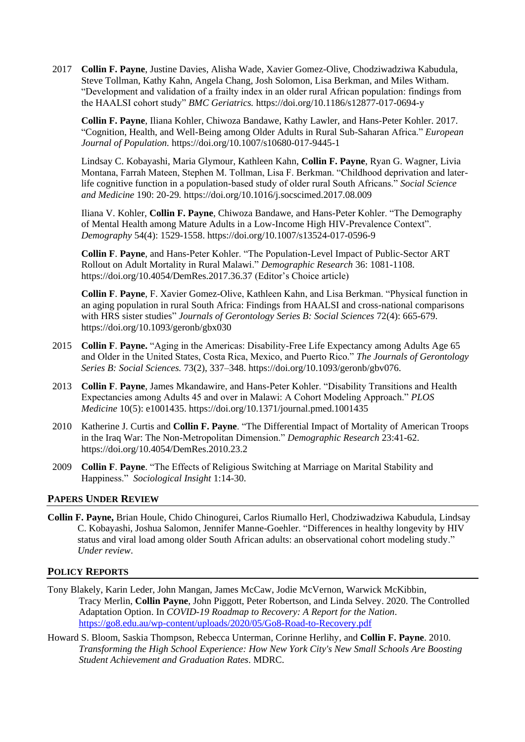2017 **Collin F. Payne**, Justine Davies, Alisha Wade, Xavier Gomez-Olive, Chodziwadziwa Kabudula, Steve Tollman, Kathy Kahn, Angela Chang, Josh Solomon, Lisa Berkman, and Miles Witham. "Development and validation of a frailty index in an older rural African population: findings from the HAALSI cohort study" *BMC Geriatrics.* https://doi.org/10.1186/s12877-017-0694-y

**Collin F. Payne**, Iliana Kohler, Chiwoza Bandawe, Kathy Lawler, and Hans-Peter Kohler. 2017. "Cognition, Health, and Well-Being among Older Adults in Rural Sub-Saharan Africa." *European Journal of Population.* https://doi.org/10.1007/s10680-017-9445-1

Lindsay C. Kobayashi, Maria Glymour, Kathleen Kahn, **Collin F. Payne**, Ryan G. Wagner, Livia Montana, Farrah Mateen, Stephen M. Tollman, Lisa F. Berkman. "Childhood deprivation and laterlife cognitive function in a population-based study of older rural South Africans." *Social Science and Medicine* 190: 20-29*.* https://doi.org/10.1016/j.socscimed.2017.08.009

Iliana V. Kohler, **Collin F. Payne**, Chiwoza Bandawe, and Hans-Peter Kohler. "The Demography of Mental Health among Mature Adults in a Low-Income High HIV-Prevalence Context". *Demography* 54(4): 1529-1558. https://doi.org/10.1007/s13524-017-0596-9

**Collin F**. **Payne**, and Hans-Peter Kohler. "The Population-Level Impact of Public-Sector ART Rollout on Adult Mortality in Rural Malawi." *Demographic Research* 36: 1081-1108. https://doi.org/10.4054/DemRes.2017.36.37 (Editor's Choice article)

**Collin F**. **Payne**, F. Xavier Gomez-Olive, Kathleen Kahn, and Lisa Berkman. "Physical function in an aging population in rural South Africa: Findings from HAALSI and cross-national comparisons with HRS sister studies" *Journals of Gerontology Series B: Social Sciences* 72(4): 665-679. https://doi.org/10.1093/geronb/gbx030

- 2015 **Collin F**. **Payne.** "Aging in the Americas: Disability-Free Life Expectancy among Adults Age 65 and Older in the United States, Costa Rica, Mexico, and Puerto Rico." *The Journals of Gerontology Series B: Social Sciences.* 73(2), 337–348. https://doi.org/10.1093/geronb/gbv076.
- 2013 **Collin F**. **Payne**, James Mkandawire, and Hans-Peter Kohler. "Disability Transitions and Health Expectancies among Adults 45 and over in Malawi: A Cohort Modeling Approach." *PLOS Medicine* 10(5): e1001435. https://doi.org/10.1371/journal.pmed.1001435
- 2010 Katherine J. Curtis and **Collin F. Payne**. "The Differential Impact of Mortality of American Troops in the Iraq War: The Non-Metropolitan Dimension." *Demographic Research* 23:41-62. https://doi.org/10.4054/DemRes.2010.23.2
- 2009 **Collin F**. **Payne**. "The Effects of Religious Switching at Marriage on Marital Stability and Happiness." *Sociological Insight* 1:14-30.

### **PAPERS UNDER REVIEW**

**Collin F. Payne,** Brian Houle, Chido Chinogurei, Carlos Riumallo Herl, Chodziwadziwa Kabudula, Lindsay C. Kobayashi, Joshua Salomon, Jennifer Manne-Goehler. "Differences in healthy longevity by HIV status and viral load among older South African adults: an observational cohort modeling study." *Under review*.

### **POLICY REPORTS**

- Tony Blakely, Karin Leder, John Mangan, James McCaw, Jodie McVernon, Warwick McKibbin, Tracy Merlin, **Collin Payne**, John Piggott, Peter Robertson, and Linda Selvey. 2020. The Controlled Adaptation Option. In *COVID-19 Roadmap to Recovery: A Report for the Nation*. <https://go8.edu.au/wp-content/uploads/2020/05/Go8-Road-to-Recovery.pdf>
- Howard S. Bloom, Saskia Thompson, Rebecca Unterman, Corinne Herlihy, and **Collin F. Payne**. 2010. *Transforming the High School Experience: How New York City's New Small Schools Are Boosting Student Achievement and Graduation Rates*. MDRC.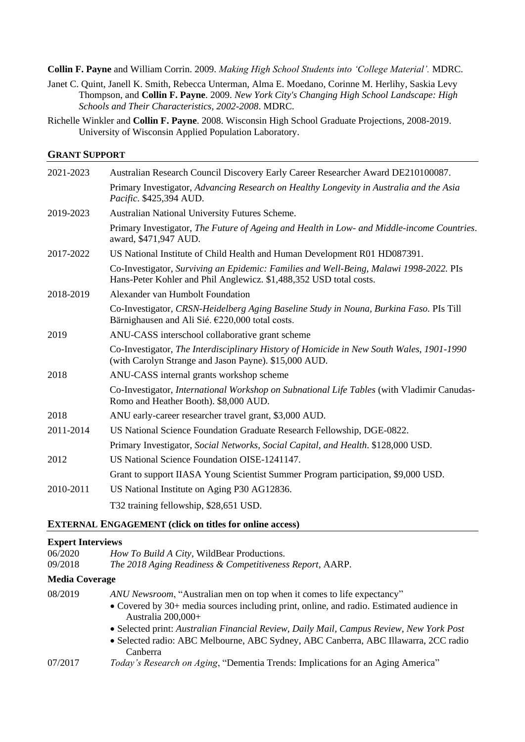**Collin F. Payne** and William Corrin. 2009. *Making High School Students into 'College Material'.* MDRC.

- Janet C. Quint, Janell K. Smith, Rebecca Unterman, Alma E. Moedano, Corinne M. Herlihy, Saskia Levy Thompson, and **Collin F. Payne**. 2009. *New York City's Changing High School Landscape: High Schools and Their Characteristics, 2002-2008*. MDRC.
- Richelle Winkler and **Collin F. Payne**. 2008. Wisconsin High School Graduate Projections, 2008-2019. University of Wisconsin Applied Population Laboratory.

# **GRANT SUPPORT**

| 2021-2023 | Australian Research Council Discovery Early Career Researcher Award DE210100087.                                                                             |
|-----------|--------------------------------------------------------------------------------------------------------------------------------------------------------------|
|           | Primary Investigator, Advancing Research on Healthy Longevity in Australia and the Asia<br>Pacific. \$425,394 AUD.                                           |
| 2019-2023 | Australian National University Futures Scheme.                                                                                                               |
|           | Primary Investigator, The Future of Ageing and Health in Low- and Middle-income Countries.<br>award, \$471,947 AUD.                                          |
| 2017-2022 | US National Institute of Child Health and Human Development R01 HD087391.                                                                                    |
|           | Co-Investigator, Surviving an Epidemic: Families and Well-Being, Malawi 1998-2022. PIs<br>Hans-Peter Kohler and Phil Anglewicz. \$1,488,352 USD total costs. |
| 2018-2019 | Alexander van Humbolt Foundation                                                                                                                             |
|           | Co-Investigator, CRSN-Heidelberg Aging Baseline Study in Nouna, Burkina Faso. PIs Till<br>Bärnighausen and Ali Sié. €220,000 total costs.                    |
| 2019      | ANU-CASS interschool collaborative grant scheme                                                                                                              |
|           | Co-Investigator, The Interdisciplinary History of Homicide in New South Wales, 1901-1990<br>(with Carolyn Strange and Jason Payne). \$15,000 AUD.            |
| 2018      | ANU-CASS internal grants workshop scheme                                                                                                                     |
|           | Co-Investigator, International Workshop on Subnational Life Tables (with Vladimir Canudas-<br>Romo and Heather Booth). \$8,000 AUD.                          |
| 2018      | ANU early-career researcher travel grant, \$3,000 AUD.                                                                                                       |
| 2011-2014 | US National Science Foundation Graduate Research Fellowship, DGE-0822.                                                                                       |
|           | Primary Investigator, Social Networks, Social Capital, and Health. \$128,000 USD.                                                                            |
| 2012      | US National Science Foundation OISE-1241147.                                                                                                                 |
|           | Grant to support IIASA Young Scientist Summer Program participation, \$9,000 USD.                                                                            |
| 2010-2011 | US National Institute on Aging P30 AG12836.                                                                                                                  |
|           | T32 training fellowship, \$28,651 USD.                                                                                                                       |

### **EXTERNAL ENGAGEMENT (click on titles for online access)**

### **Expert Interviews**

| 06/2020 | <i>How To Build A City, WildBear Productions.</i>        |
|---------|----------------------------------------------------------|
| 09/2018 | The 2018 Aging Readiness & Competitiveness Report, AARP. |

# **Media Coverage**

| 08/2019 | ANU Newsroom, "Australian men on top when it comes to life expectancy"                                         |
|---------|----------------------------------------------------------------------------------------------------------------|
|         | • Covered by 30+ media sources including print, online, and radio. Estimated audience in<br>Australia 200,000+ |
|         | • Selected print: Australian Financial Review, Daily Mail, Campus Review, New York Post                        |
|         | • Selected radio: ABC Melbourne, ABC Sydney, ABC Canberra, ABC Illawarra, 2CC radio<br>Canberra                |
| 07/2017 | <i>Today's Research on Aging</i> , "Dementia Trends: Implications for an Aging America"                        |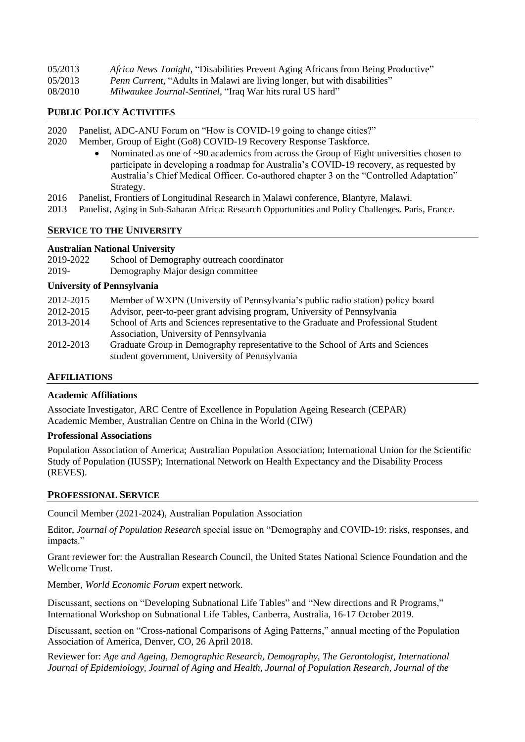| 05/2013 | Africa News Tonight, "Disabilities Prevent Aging Africans from Being Productive" |
|---------|----------------------------------------------------------------------------------|
| 05/2013 | <i>Penn Current,</i> "Adults in Malawi are living longer, but with disabilities" |
| 08/2010 | <i>Milwaukee Journal-Sentinel</i> , "Iraq War hits rural US hard"                |

### **PUBLIC POLICY ACTIVITIES**

- 2020 Panelist, ADC-ANU Forum on "How is COVID-19 going to change cities?"
- 2020 Member, Group of Eight (Go8) COVID-19 Recovery Response Taskforce.
	- Nominated as one of ~90 academics from across the Group of Eight universities chosen to participate in developing a roadmap for Australia's COVID-19 recovery, as requested by Australia's Chief Medical Officer. Co-authored chapter 3 on the "Controlled Adaptation" Strategy.
- 2016 Panelist, Frontiers of Longitudinal Research in Malawi conference, Blantyre, Malawi.
- 2013 Panelist, Aging in Sub-Saharan Africa: Research Opportunities and Policy Challenges. Paris, France.

#### **SERVICE TO THE UNIVERSITY**

#### **Australian National University**

| 2019-2022 | School of Demography outreach coordinator |
|-----------|-------------------------------------------|
| 2019-     | Demography Major design committee         |

#### **University of Pennsylvania**

| 2012-2015 | Member of WXPN (University of Pennsylvania's public radio station) policy board     |
|-----------|-------------------------------------------------------------------------------------|
| 2012-2015 | Advisor, peer-to-peer grant advising program, University of Pennsylvania            |
| 2013-2014 | School of Arts and Sciences representative to the Graduate and Professional Student |
|           | Association, University of Pennsylvania                                             |
| 2012-2013 | Graduate Group in Demography representative to the School of Arts and Sciences      |
|           | student government, University of Pennsylvania                                      |

#### **AFFILIATIONS**

#### **Academic Affiliations**

Associate Investigator, ARC Centre of Excellence in Population Ageing Research (CEPAR) Academic Member, Australian Centre on China in the World (CIW)

#### **Professional Associations**

Population Association of America; Australian Population Association; International Union for the Scientific Study of Population (IUSSP); International Network on Health Expectancy and the Disability Process (REVES).

#### **PROFESSIONAL SERVICE**

Council Member (2021-2024), Australian Population Association

Editor, *Journal of Population Research* special issue on "Demography and COVID-19: risks, responses, and impacts."

Grant reviewer for: the Australian Research Council, the United States National Science Foundation and the Wellcome Trust.

Member, *World Economic Forum* expert network.

Discussant, sections on "Developing Subnational Life Tables" and "New directions and R Programs," International Workshop on Subnational Life Tables, Canberra, Australia, 16-17 October 2019.

Discussant, section on "Cross-national Comparisons of Aging Patterns," annual meeting of the Population Association of America, Denver, CO, 26 April 2018.

Reviewer for: *Age and Ageing, Demographic Research, Demography, The Gerontologist, International Journal of Epidemiology, Journal of Aging and Health, Journal of Population Research, Journal of the*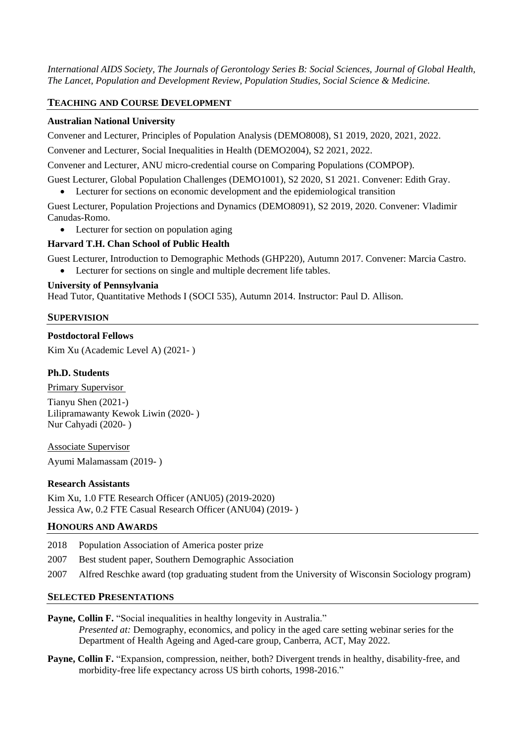*International AIDS Society, The Journals of Gerontology Series B: Social Sciences, Journal of Global Health, The Lancet, Population and Development Review, Population Studies, Social Science & Medicine.* 

# **TEACHING AND COURSE DEVELOPMENT**

## **Australian National University**

Convener and Lecturer, Principles of Population Analysis (DEMO8008), S1 2019, 2020, 2021, 2022.

Convener and Lecturer, Social Inequalities in Health (DEMO2004), S2 2021, 2022.

Convener and Lecturer, ANU micro-credential course on Comparing Populations (COMPOP).

Guest Lecturer, Global Population Challenges (DEMO1001), S2 2020, S1 2021. Convener: Edith Gray.

Lecturer for sections on economic development and the epidemiological transition

Guest Lecturer, Population Projections and Dynamics (DEMO8091), S2 2019, 2020. Convener: Vladimir Canudas-Romo.

• Lecturer for section on population aging

## **Harvard T.H. Chan School of Public Health**

Guest Lecturer, Introduction to Demographic Methods (GHP220), Autumn 2017. Convener: Marcia Castro.

Lecturer for sections on single and multiple decrement life tables.

## **University of Pennsylvania**

Head Tutor, Quantitative Methods I (SOCI 535), Autumn 2014. Instructor: Paul D. Allison.

### **SUPERVISION**

## **Postdoctoral Fellows**

Kim Xu (Academic Level A) (2021- )

# **Ph.D. Students**

Primary Supervisor Tianyu Shen (2021-) Lilipramawanty Kewok Liwin (2020- ) Nur Cahyadi (2020- )

Associate Supervisor Ayumi Malamassam (2019- )

### **Research Assistants**

Kim Xu, 1.0 FTE Research Officer (ANU05) (2019-2020) Jessica Aw, 0.2 FTE Casual Research Officer (ANU04) (2019- )

### **HONOURS AND AWARDS**

- 2018 Population Association of America poster prize
- 2007 Best student paper, Southern Demographic Association
- 2007 Alfred Reschke award (top graduating student from the University of Wisconsin Sociology program)

# **SELECTED PRESENTATIONS**

- **Payne, Collin F.** "Social inequalities in healthy longevity in Australia." *Presented at:* Demography, economics, and policy in the aged care setting webinar series for the Department of Health Ageing and Aged-care group, Canberra, ACT, May 2022.
- **Payne, Collin F.** "Expansion, compression, neither, both? Divergent trends in healthy, disability-free, and morbidity-free life expectancy across US birth cohorts, 1998-2016."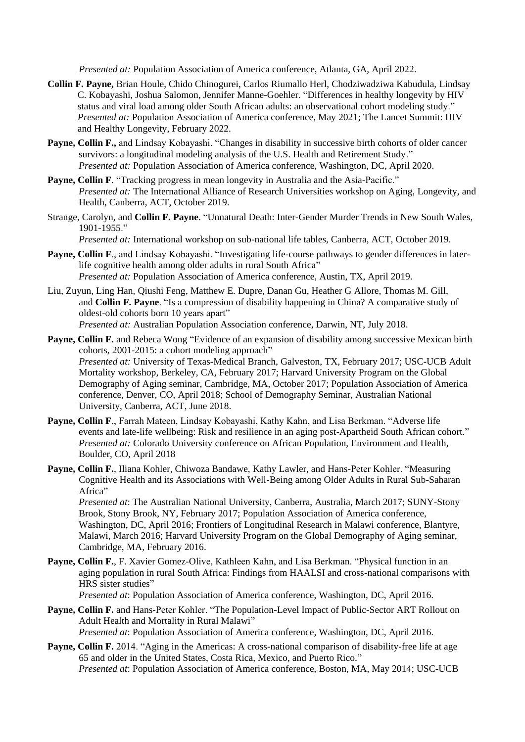*Presented at:* Population Association of America conference, Atlanta, GA, April 2022.

- **Collin F. Payne,** Brian Houle, Chido Chinogurei, Carlos Riumallo Herl, Chodziwadziwa Kabudula, Lindsay C. Kobayashi, Joshua Salomon, Jennifer Manne-Goehler. "Differences in healthy longevity by HIV status and viral load among older South African adults: an observational cohort modeling study." *Presented at:* Population Association of America conference, May 2021; The Lancet Summit: HIV and Healthy Longevity, February 2022.
- **Payne, Collin F.,** and Lindsay Kobayashi. "Changes in disability in successive birth cohorts of older cancer survivors: a longitudinal modeling analysis of the U.S. Health and Retirement Study." *Presented at:* Population Association of America conference, Washington, DC, April 2020.
- **Payne, Collin F***.* "Tracking progress in mean longevity in Australia and the Asia-Pacific." *Presented at:* The International Alliance of Research Universities workshop on Aging, Longevity, and Health, Canberra, ACT, October 2019.
- Strange, Carolyn, and **Collin F. Payne**. "Unnatural Death: Inter-Gender Murder Trends in New South Wales, 1901-1955."

*Presented at:* International workshop on sub-national life tables, Canberra, ACT, October 2019.

- **Payne, Collin F**., and Lindsay Kobayashi. "Investigating life-course pathways to gender differences in laterlife cognitive health among older adults in rural South Africa<sup>"</sup> *Presented at:* Population Association of America conference, Austin, TX, April 2019.
- Liu, Zuyun, Ling Han, Qiushi Feng, Matthew E. Dupre, Danan Gu, Heather G Allore, Thomas M. Gill, and **Collin F. Payne**. "Is a compression of disability happening in China? A comparative study of oldest-old cohorts born 10 years apart" *Presented at:* Australian Population Association conference, Darwin, NT, July 2018.
- **Payne, Collin F.** and Rebeca Wong "Evidence of an expansion of disability among successive Mexican birth cohorts, 2001-2015: a cohort modeling approach" *Presented at:* University of Texas-Medical Branch, Galveston, TX, February 2017; USC-UCB Adult Mortality workshop, Berkeley, CA, February 2017; Harvard University Program on the Global Demography of Aging seminar, Cambridge, MA, October 2017; Population Association of America conference, Denver, CO, April 2018; School of Demography Seminar, Australian National University, Canberra, ACT, June 2018.
- **Payne, Collin F**., Farrah Mateen, Lindsay Kobayashi, Kathy Kahn, and Lisa Berkman. "Adverse life events and late-life wellbeing: Risk and resilience in an aging post-Apartheid South African cohort." *Presented at:* Colorado University conference on African Population, Environment and Health, Boulder, CO, April 2018
- **Payne, Collin F.**, Iliana Kohler, Chiwoza Bandawe, Kathy Lawler, and Hans-Peter Kohler. "Measuring Cognitive Health and its Associations with Well-Being among Older Adults in Rural Sub-Saharan Africa"

*Presented at*: The Australian National University, Canberra, Australia, March 2017; SUNY-Stony Brook, Stony Brook, NY, February 2017; Population Association of America conference, Washington, DC, April 2016; Frontiers of Longitudinal Research in Malawi conference, Blantyre, Malawi, March 2016; Harvard University Program on the Global Demography of Aging seminar, Cambridge, MA, February 2016.

**Payne, Collin F.**, F. Xavier Gomez-Olive, Kathleen Kahn, and Lisa Berkman. "Physical function in an aging population in rural South Africa: Findings from HAALSI and cross-national comparisons with HRS sister studies"

*Presented at*: Population Association of America conference, Washington, DC, April 2016.

- **Payne, Collin F.** and Hans-Peter Kohler. "The Population-Level Impact of Public-Sector ART Rollout on Adult Health and Mortality in Rural Malawi" *Presented at*: Population Association of America conference, Washington, DC, April 2016.
- **Payne, Collin F.** 2014. "Aging in the Americas: A cross-national comparison of disability-free life at age 65 and older in the United States, Costa Rica, Mexico, and Puerto Rico." *Presented at*: Population Association of America conference, Boston, MA, May 2014; USC-UCB